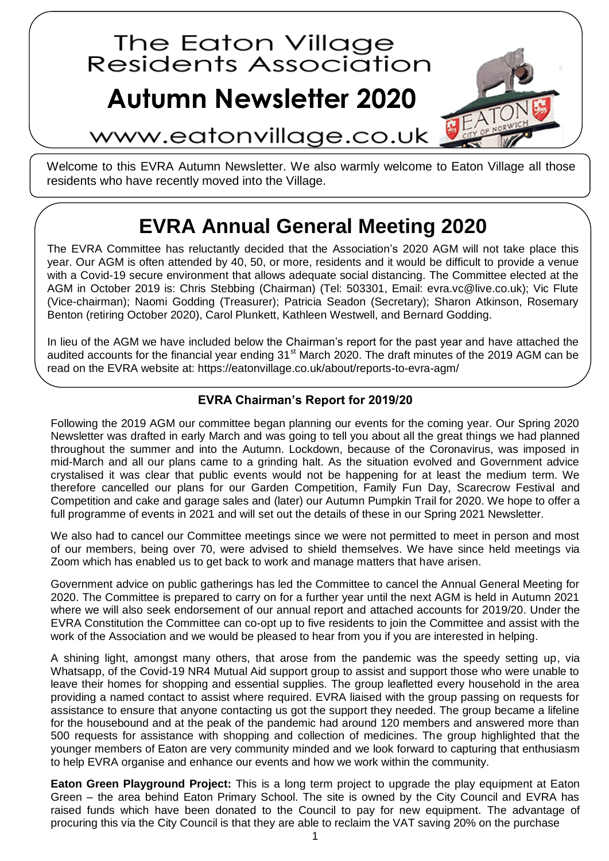

Welcome to this EVRA Autumn Newsletter. We also warmly welcome to Eaton Village all those residents who have recently moved into the Village.

## **EVRA Annual General Meeting 2020**

The EVRA Committee has reluctantly decided that the Association's 2020 AGM will not take place this year. Our AGM is often attended by 40, 50, or more, residents and it would be difficult to provide a venue with a Covid-19 secure environment that allows adequate social distancing. The Committee elected at the AGM in October 2019 is: Chris Stebbing (Chairman) (Tel: 503301, Email: evra.vc@live.co.uk); Vic Flute (Vice-chairman); Naomi Godding (Treasurer); Patricia Seadon (Secretary); Sharon Atkinson, Rosemary Benton (retiring October 2020), Carol Plunkett, Kathleen Westwell, and Bernard Godding.

In lieu of the AGM we have included below the Chairman's report for the past year and have attached the audited accounts for the financial year ending 31<sup>st</sup> March 2020. The draft minutes of the 2019 AGM can be read on the EVRA website at: https://eatonvillage.co.uk/about/reports-to-evra-agm/

## **EVRA Chairman's Report for 2019/20**

Following the 2019 AGM our committee began planning our events for the coming year. Our Spring 2020 Newsletter was drafted in early March and was going to tell you about all the great things we had planned throughout the summer and into the Autumn. Lockdown, because of the Coronavirus, was imposed in mid-March and all our plans came to a grinding halt. As the situation evolved and Government advice crystalised it was clear that public events would not be happening for at least the medium term. We therefore cancelled our plans for our Garden Competition, Family Fun Day, Scarecrow Festival and Competition and cake and garage sales and (later) our Autumn Pumpkin Trail for 2020. We hope to offer a full programme of events in 2021 and will set out the details of these in our Spring 2021 Newsletter.

We also had to cancel our Committee meetings since we were not permitted to meet in person and most of our members, being over 70, were advised to shield themselves. We have since held meetings via Zoom which has enabled us to get back to work and manage matters that have arisen.

Government advice on public gatherings has led the Committee to cancel the Annual General Meeting for 2020. The Committee is prepared to carry on for a further year until the next AGM is held in Autumn 2021 where we will also seek endorsement of our annual report and attached accounts for 2019/20. Under the EVRA Constitution the Committee can co-opt up to five residents to join the Committee and assist with the work of the Association and we would be pleased to hear from you if you are interested in helping.

A shining light, amongst many others, that arose from the pandemic was the speedy setting up, via Whatsapp, of the Covid-19 NR4 Mutual Aid support group to assist and support those who were unable to leave their homes for shopping and essential supplies. The group leafletted every household in the area providing a named contact to assist where required. EVRA liaised with the group passing on requests for assistance to ensure that anyone contacting us got the support they needed. The group became a lifeline for the housebound and at the peak of the pandemic had around 120 members and answered more than 500 requests for assistance with shopping and collection of medicines. The group highlighted that the younger members of Eaton are very community minded and we look forward to capturing that enthusiasm to help EVRA organise and enhance our events and how we work within the community.

**Eaton Green Playground Project:** This is a long term project to upgrade the play equipment at Eaton Green – the area behind Eaton Primary School. The site is owned by the City Council and EVRA has raised funds which have been donated to the Council to pay for new equipment. The advantage of procuring this via the City Council is that they are able to reclaim the VAT saving 20% on the purchase